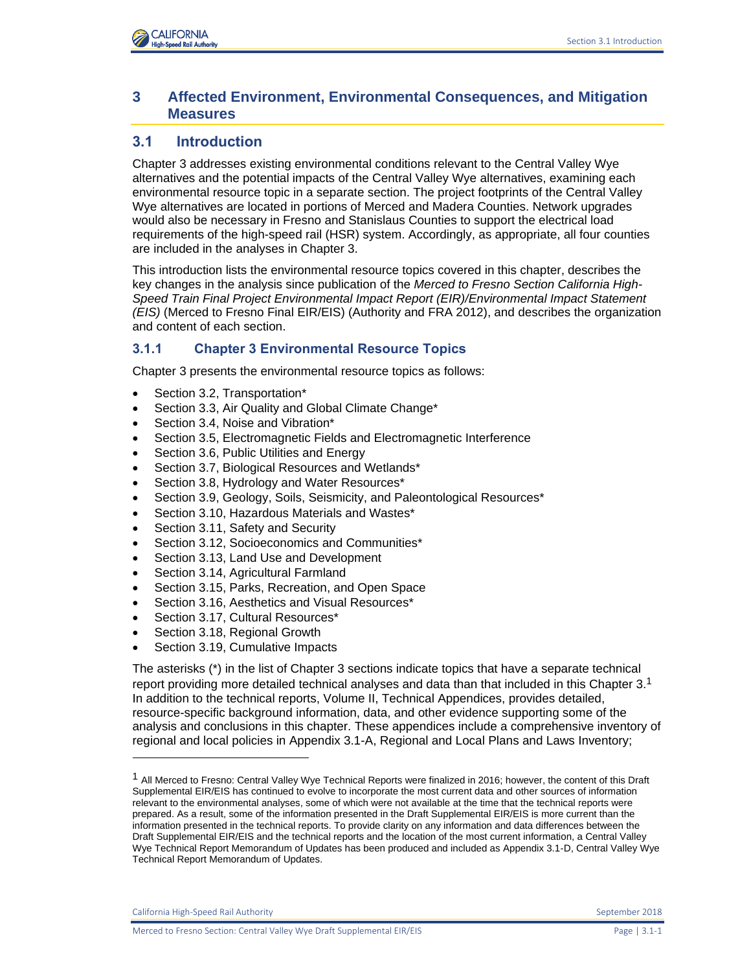# **3 Affected Environment, Environmental Consequences, and Mitigation Measures**

# **3.1 Introduction**

Chapter 3 addresses existing environmental conditions relevant to the Central Valley Wye alternatives and the potential impacts of the Central Valley Wye alternatives, examining each environmental resource topic in a separate section. The project footprints of the Central Valley Wye alternatives are located in portions of Merced and Madera Counties. Network upgrades would also be necessary in Fresno and Stanislaus Counties to support the electrical load requirements of the high-speed rail (HSR) system. Accordingly, as appropriate, all four counties are included in the analyses in Chapter 3.

This introduction lists the environmental resource topics covered in this chapter, describes the key changes in the analysis since publication of the *Merced to Fresno Section California High-Speed Train Final Project Environmental Impact Report (EIR)/Environmental Impact Statement (EIS)* (Merced to Fresno Final EIR/EIS) (Authority and FRA 2012), and describes the organization and content of each section.

## **3.1.1 Chapter 3 Environmental Resource Topics**

Chapter 3 presents the environmental resource topics as follows:

- Section 3.2, Transportation\*
- Section 3.3, Air Quality and Global Climate Change\*
- Section 3.4, Noise and Vibration\*
- Section 3.5, Electromagnetic Fields and Electromagnetic Interference
- Section 3.6, Public Utilities and Energy
- Section 3.7, Biological Resources and Wetlands\*
- Section 3.8, Hydrology and Water Resources\*
- Section 3.9, Geology, Soils, Seismicity, and Paleontological Resources\*
- Section 3.10, Hazardous Materials and Wastes\*
- Section 3.11, Safety and Security
- Section 3.12, Socioeconomics and Communities\*
- Section 3.13, Land Use and Development
- Section 3.14, Agricultural Farmland
- Section 3.15, Parks, Recreation, and Open Space
- Section 3.16, Aesthetics and Visual Resources\*
- Section 3.17, Cultural Resources\*
- Section 3.18, Regional Growth
- Section 3.19, Cumulative Impacts

The asterisks (\*) in the list of Chapter 3 sections indicate topics that have a separate technical report providing more detailed technical analyses and data than that included in this Chapter 3.<sup>1</sup> In addition to the technical reports, Volume II, Technical Appendices, provides detailed, resource-specific background information, data, and other evidence supporting some of the analysis and conclusions in this chapter. These appendices include a comprehensive inventory of regional and local policies in Appendix 3.1-A, Regional and Local Plans and Laws Inventory;

California High-Speed Rail Authority **September 2018** September 2018

l

<sup>&</sup>lt;sup>1</sup> All Merced to Fresno: Central Valley Wye Technical Reports were finalized in 2016; however, the content of this Draft Supplemental EIR/EIS has continued to evolve to incorporate the most current data and other sources of information relevant to the environmental analyses, some of which were not available at the time that the technical reports were prepared. As a result, some of the information presented in the Draft Supplemental EIR/EIS is more current than the information presented in the technical reports. To provide clarity on any information and data differences between the Draft Supplemental EIR/EIS and the technical reports and the location of the most current information, a Central Valley Wye Technical Report Memorandum of Updates has been produced and included as Appendix 3.1-D, Central Valley Wye Technical Report Memorandum of Updates.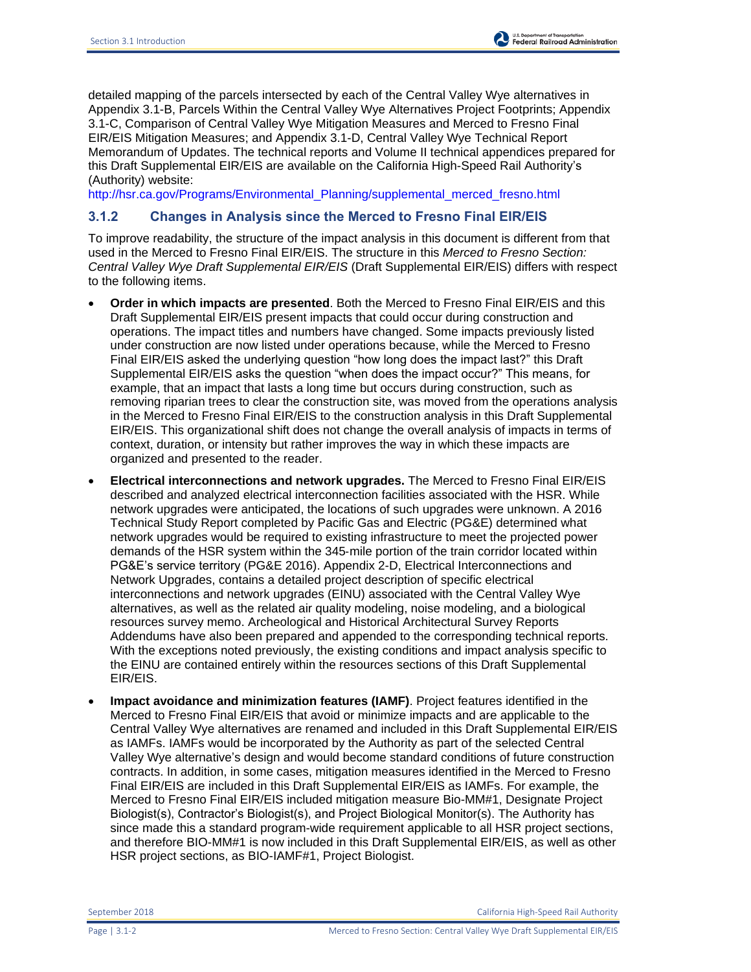detailed mapping of the parcels intersected by each of the Central Valley Wye alternatives in Appendix 3.1-B, Parcels Within the Central Valley Wye Alternatives Project Footprints; Appendix 3.1-C, Comparison of Central Valley Wye Mitigation Measures and Merced to Fresno Final EIR/EIS Mitigation Measures; and Appendix 3.1-D, Central Valley Wye Technical Report Memorandum of Updates. The technical reports and Volume II technical appendices prepared for this Draft Supplemental EIR/EIS are available on the California High-Speed Rail Authority's (Authority) website:

[http://hsr.ca.gov/Programs/Environmental\\_Planning/supplemental\\_merced\\_fresno.html](http://hsr.ca.gov/Programs/Environmental_Planning/supplemental_merced_fresno.html)

## **3.1.2 Changes in Analysis since the Merced to Fresno Final EIR/EIS**

To improve readability, the structure of the impact analysis in this document is different from that used in the Merced to Fresno Final EIR/EIS. The structure in this *Merced to Fresno Section: Central Valley Wye Draft Supplemental EIR/EIS* (Draft Supplemental EIR/EIS) differs with respect to the following items.

- **Order in which impacts are presented**. Both the Merced to Fresno Final EIR/EIS and this Draft Supplemental EIR/EIS present impacts that could occur during construction and operations. The impact titles and numbers have changed. Some impacts previously listed under construction are now listed under operations because, while the Merced to Fresno Final EIR/EIS asked the underlying question "how long does the impact last?" this Draft Supplemental EIR/EIS asks the question "when does the impact occur?" This means, for example, that an impact that lasts a long time but occurs during construction, such as removing riparian trees to clear the construction site, was moved from the operations analysis in the Merced to Fresno Final EIR/EIS to the construction analysis in this Draft Supplemental EIR/EIS. This organizational shift does not change the overall analysis of impacts in terms of context, duration, or intensity but rather improves the way in which these impacts are organized and presented to the reader.
- **Electrical interconnections and network upgrades.** The Merced to Fresno Final EIR/EIS described and analyzed electrical interconnection facilities associated with the HSR. While network upgrades were anticipated, the locations of such upgrades were unknown. A 2016 Technical Study Report completed by Pacific Gas and Electric (PG&E) determined what network upgrades would be required to existing infrastructure to meet the projected power demands of the HSR system within the 345‐mile portion of the train corridor located within PG&E's service territory (PG&E 2016). Appendix 2-D, Electrical Interconnections and Network Upgrades, contains a detailed project description of specific electrical interconnections and network upgrades (EINU) associated with the Central Valley Wye alternatives, as well as the related air quality modeling, noise modeling, and a biological resources survey memo. Archeological and Historical Architectural Survey Reports Addendums have also been prepared and appended to the corresponding technical reports. With the exceptions noted previously, the existing conditions and impact analysis specific to the EINU are contained entirely within the resources sections of this Draft Supplemental EIR/EIS.
- **Impact avoidance and minimization features (IAMF)**. Project features identified in the Merced to Fresno Final EIR/EIS that avoid or minimize impacts and are applicable to the Central Valley Wye alternatives are renamed and included in this Draft Supplemental EIR/EIS as IAMFs. IAMFs would be incorporated by the Authority as part of the selected Central Valley Wye alternative's design and would become standard conditions of future construction contracts. In addition, in some cases, mitigation measures identified in the Merced to Fresno Final EIR/EIS are included in this Draft Supplemental EIR/EIS as IAMFs. For example, the Merced to Fresno Final EIR/EIS included mitigation measure Bio-MM#1, Designate Project Biologist(s), Contractor's Biologist(s), and Project Biological Monitor(s). The Authority has since made this a standard program-wide requirement applicable to all HSR project sections, and therefore BIO-MM#1 is now included in this Draft Supplemental EIR/EIS, as well as other HSR project sections, as BIO-IAMF#1, Project Biologist.

September 2018 California High-Speed Rail Authority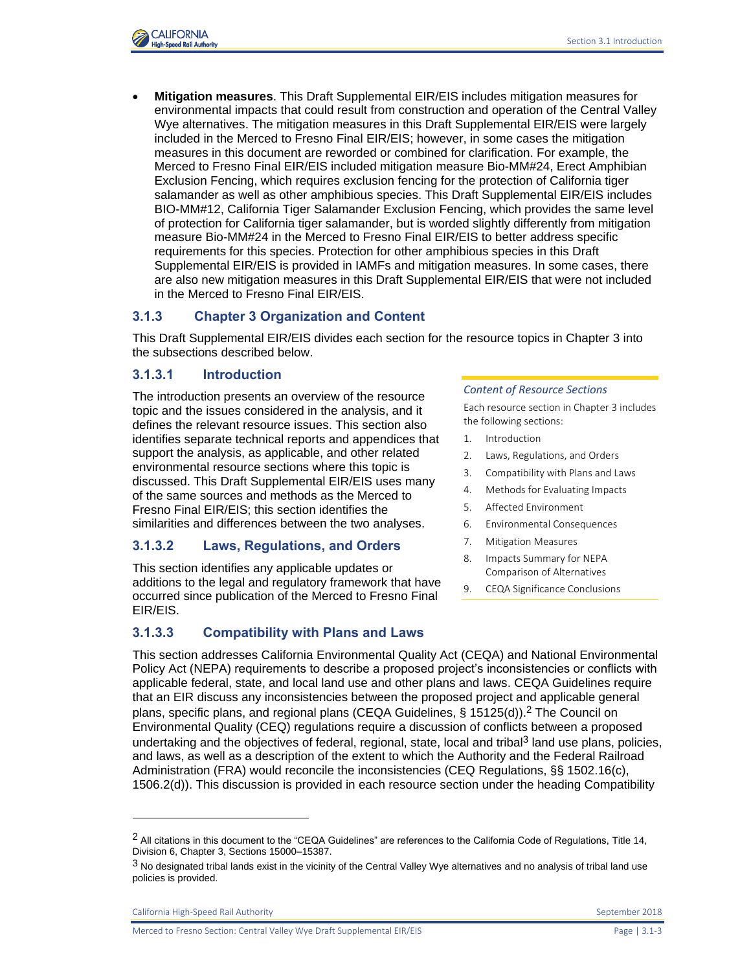

 **Mitigation measures**. This Draft Supplemental EIR/EIS includes mitigation measures for environmental impacts that could result from construction and operation of the Central Valley Wye alternatives. The mitigation measures in this Draft Supplemental EIR/EIS were largely included in the Merced to Fresno Final EIR/EIS; however, in some cases the mitigation measures in this document are reworded or combined for clarification. For example, the Merced to Fresno Final EIR/EIS included mitigation measure Bio-MM#24, Erect Amphibian Exclusion Fencing, which requires exclusion fencing for the protection of California tiger salamander as well as other amphibious species. This Draft Supplemental EIR/EIS includes BIO-MM#12, California Tiger Salamander Exclusion Fencing, which provides the same level of protection for California tiger salamander, but is worded slightly differently from mitigation measure Bio-MM#24 in the Merced to Fresno Final EIR/EIS to better address specific requirements for this species. Protection for other amphibious species in this Draft Supplemental EIR/EIS is provided in IAMFs and mitigation measures. In some cases, there are also new mitigation measures in this Draft Supplemental EIR/EIS that were not included in the Merced to Fresno Final EIR/EIS.

## **3.1.3 Chapter 3 Organization and Content**

This Draft Supplemental EIR/EIS divides each section for the resource topics in Chapter 3 into the subsections described below.

### **3.1.3.1 Introduction**

The introduction presents an overview of the resource topic and the issues considered in the analysis, and it defines the relevant resource issues. This section also identifies separate technical reports and appendices that support the analysis, as applicable, and other related environmental resource sections where this topic is discussed. This Draft Supplemental EIR/EIS uses many of the same sources and methods as the Merced to Fresno Final EIR/EIS; this section identifies the similarities and differences between the two analyses.

## **3.1.3.2 Laws, Regulations, and Orders**

This section identifies any applicable updates or additions to the legal and regulatory framework that have occurred since publication of the Merced to Fresno Final EIR/EIS.

## **3.1.3.3 Compatibility with Plans and Laws**

#### *Content of Resource Sections*

Each resource section in Chapter 3 includes the following sections:

- 1. Introduction
- 2. Laws, Regulations, and Orders
- 3. Compatibility with Plans and Laws
- 4. Methods for Evaluating Impacts
- 5. Affected Environment
- 6. Environmental Consequences
- 7. Mitigation Measures
- 8. Impacts Summary for NEPA Comparison of Alternatives
- 9. CEQA Significance Conclusions

This section addresses California Environmental Quality Act (CEQA) and National Environmental Policy Act (NEPA) requirements to describe a proposed project's inconsistencies or conflicts with applicable federal, state, and local land use and other plans and laws. CEQA Guidelines require that an EIR discuss any inconsistencies between the proposed project and applicable general plans, specific plans, and regional plans (CEQA Guidelines,  $\S$  15125(d)).<sup>2</sup> The Council on Environmental Quality (CEQ) regulations require a discussion of conflicts between a proposed undertaking and the objectives of federal, regional, state, local and tribal<sup>3</sup> land use plans, policies, and laws, as well as a description of the extent to which the Authority and the Federal Railroad Administration (FRA) would reconcile the inconsistencies (CEQ Regulations, §§ 1502.16(c), 1506.2(d)). This discussion is provided in each resource section under the heading Compatibility

California High-Speed Rail Authority September 2018

l

Merced to Fresno Section: Central Valley Wye Draft Supplemental EIR/EIS Page | 3.1-3

 $2$  All citations in this document to the "CEQA Guidelines" are references to the California Code of Regulations, Title 14, Division 6, Chapter 3, Sections 15000–15387.

<sup>3</sup> No designated tribal lands exist in the vicinity of the Central Valley Wye alternatives and no analysis of tribal land use policies is provided.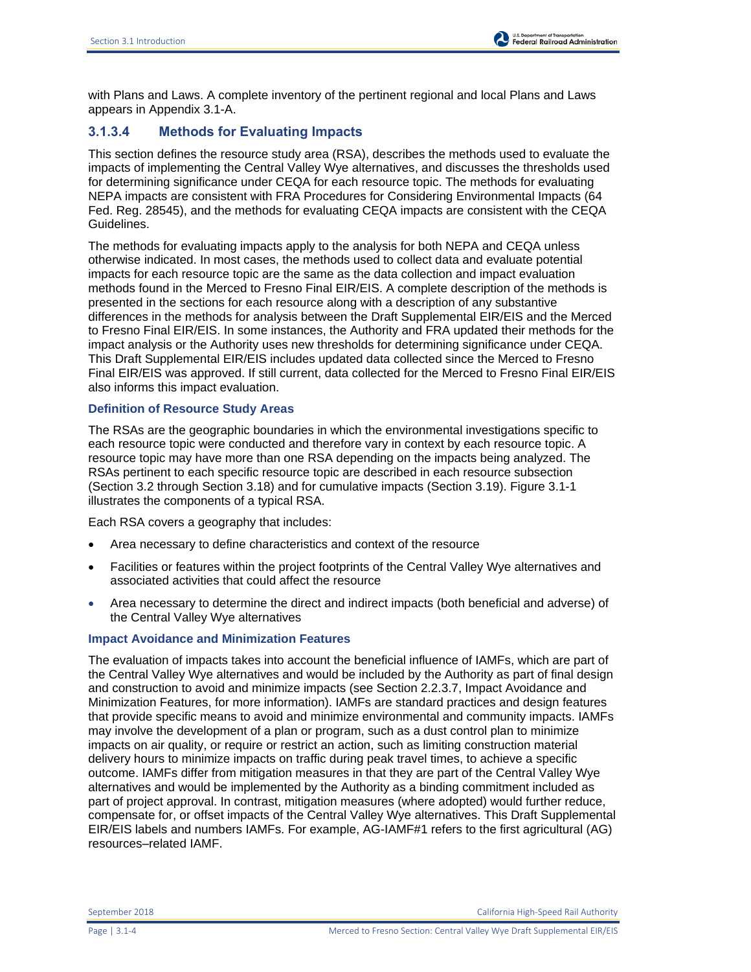with Plans and Laws. A complete inventory of the pertinent regional and local Plans and Laws appears in Appendix 3.1-A.

# **3.1.3.4 Methods for Evaluating Impacts**

This section defines the resource study area (RSA), describes the methods used to evaluate the impacts of implementing the Central Valley Wye alternatives, and discusses the thresholds used for determining significance under CEQA for each resource topic. The methods for evaluating NEPA impacts are consistent with FRA Procedures for Considering Environmental Impacts (64 Fed. Reg. 28545), and the methods for evaluating CEQA impacts are consistent with the CEQA Guidelines.

The methods for evaluating impacts apply to the analysis for both NEPA and CEQA unless otherwise indicated. In most cases, the methods used to collect data and evaluate potential impacts for each resource topic are the same as the data collection and impact evaluation methods found in the Merced to Fresno Final EIR/EIS. A complete description of the methods is presented in the sections for each resource along with a description of any substantive differences in the methods for analysis between the Draft Supplemental EIR/EIS and the Merced to Fresno Final EIR/EIS. In some instances, the Authority and FRA updated their methods for the impact analysis or the Authority uses new thresholds for determining significance under CEQA. This Draft Supplemental EIR/EIS includes updated data collected since the Merced to Fresno Final EIR/EIS was approved. If still current, data collected for the Merced to Fresno Final EIR/EIS also informs this impact evaluation.

### **Definition of Resource Study Areas**

The RSAs are the geographic boundaries in which the environmental investigations specific to each resource topic were conducted and therefore vary in context by each resource topic. A resource topic may have more than one RSA depending on the impacts being analyzed. The RSAs pertinent to each specific resource topic are described in each resource subsection (Section 3.2 through Section 3.18) and for cumulative impacts (Section 3.19). [Figure 3.1-1](#page-4-0) illustrates the components of a typical RSA.

Each RSA covers a geography that includes:

- Area necessary to define characteristics and context of the resource
- Facilities or features within the project footprints of the Central Valley Wye alternatives and associated activities that could affect the resource
- Area necessary to determine the direct and indirect impacts (both beneficial and adverse) of the Central Valley Wye alternatives

#### **Impact Avoidance and Minimization Features**

The evaluation of impacts takes into account the beneficial influence of IAMFs, which are part of the Central Valley Wye alternatives and would be included by the Authority as part of final design and construction to avoid and minimize impacts (see Section 2.2.3.7, Impact Avoidance and Minimization Features, for more information). IAMFs are standard practices and design features that provide specific means to avoid and minimize environmental and community impacts. IAMFs may involve the development of a plan or program, such as a dust control plan to minimize impacts on air quality, or require or restrict an action, such as limiting construction material delivery hours to minimize impacts on traffic during peak travel times, to achieve a specific outcome. IAMFs differ from mitigation measures in that they are part of the Central Valley Wye alternatives and would be implemented by the Authority as a binding commitment included as part of project approval. In contrast, mitigation measures (where adopted) would further reduce, compensate for, or offset impacts of the Central Valley Wye alternatives. This Draft Supplemental EIR/EIS labels and numbers IAMFs. For example, AG-IAMF#1 refers to the first agricultural (AG) resources–related IAMF.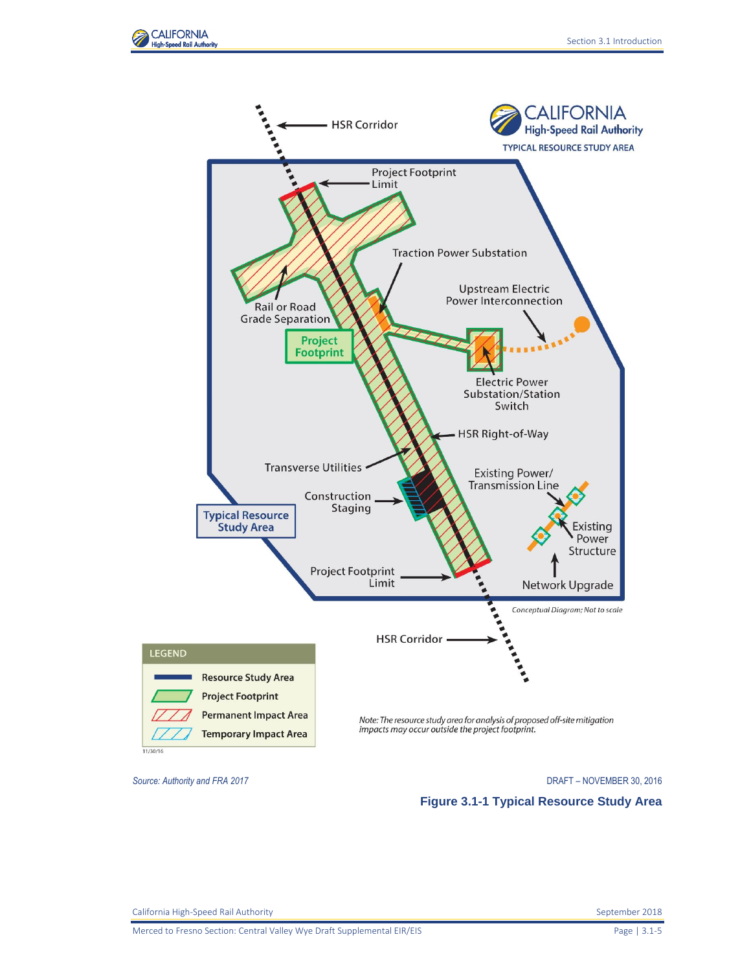



<span id="page-4-0"></span>*Source: Authority and FRA 2017* DRAFT – NOVEMBER 30, 2016

**Figure 3.1-1 Typical Resource Study Area**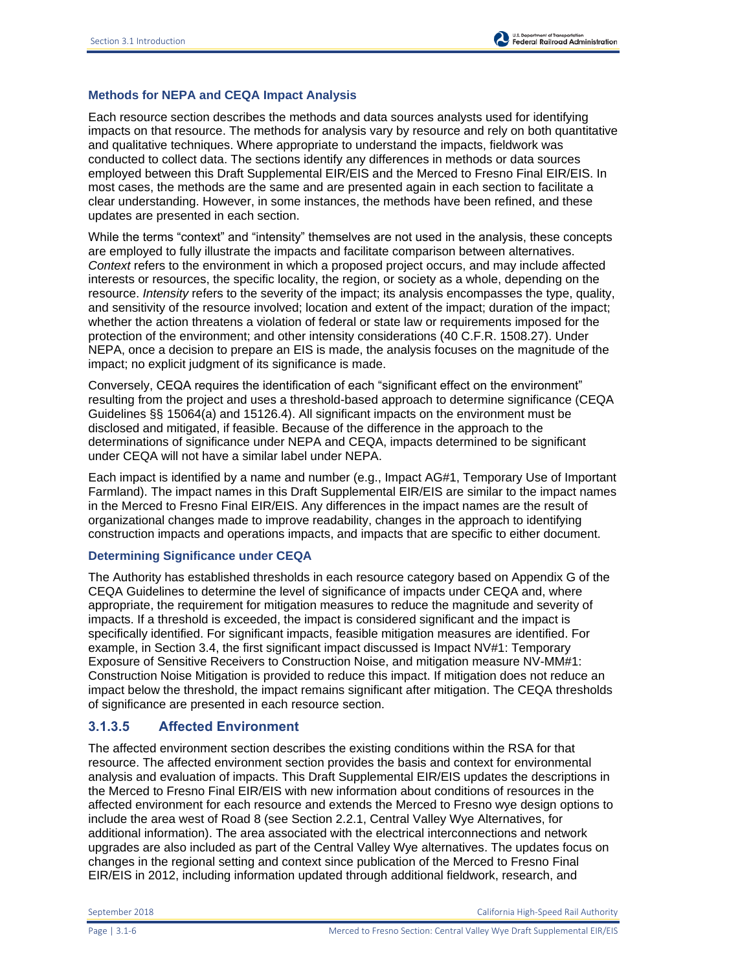## **Methods for NEPA and CEQA Impact Analysis**

Each resource section describes the methods and data sources analysts used for identifying impacts on that resource. The methods for analysis vary by resource and rely on both quantitative and qualitative techniques. Where appropriate to understand the impacts, fieldwork was conducted to collect data. The sections identify any differences in methods or data sources employed between this Draft Supplemental EIR/EIS and the Merced to Fresno Final EIR/EIS. In most cases, the methods are the same and are presented again in each section to facilitate a clear understanding. However, in some instances, the methods have been refined, and these updates are presented in each section.

While the terms "context" and "intensity" themselves are not used in the analysis, these concepts are employed to fully illustrate the impacts and facilitate comparison between alternatives. *Context* refers to the environment in which a proposed project occurs, and may include affected interests or resources, the specific locality, the region, or society as a whole, depending on the resource. *Intensity* refers to the severity of the impact; its analysis encompasses the type, quality, and sensitivity of the resource involved; location and extent of the impact; duration of the impact; whether the action threatens a violation of federal or state law or requirements imposed for the protection of the environment; and other intensity considerations (40 C.F.R. 1508.27). Under NEPA, once a decision to prepare an EIS is made, the analysis focuses on the magnitude of the impact; no explicit judgment of its significance is made.

Conversely, CEQA requires the identification of each "significant effect on the environment" resulting from the project and uses a threshold-based approach to determine significance (CEQA Guidelines §§ 15064(a) and 15126.4). All significant impacts on the environment must be disclosed and mitigated, if feasible. Because of the difference in the approach to the determinations of significance under NEPA and CEQA, impacts determined to be significant under CEQA will not have a similar label under NEPA.

Each impact is identified by a name and number (e.g., Impact AG#1, Temporary Use of Important Farmland). The impact names in this Draft Supplemental EIR/EIS are similar to the impact names in the Merced to Fresno Final EIR/EIS. Any differences in the impact names are the result of organizational changes made to improve readability, changes in the approach to identifying construction impacts and operations impacts, and impacts that are specific to either document.

#### **Determining Significance under CEQA**

The Authority has established thresholds in each resource category based on Appendix G of the CEQA Guidelines to determine the level of significance of impacts under CEQA and, where appropriate, the requirement for mitigation measures to reduce the magnitude and severity of impacts. If a threshold is exceeded, the impact is considered significant and the impact is specifically identified. For significant impacts, feasible mitigation measures are identified. For example, in Section 3.4, the first significant impact discussed is Impact NV#1: Temporary Exposure of Sensitive Receivers to Construction Noise, and mitigation measure NV-MM#1: Construction Noise Mitigation is provided to reduce this impact. If mitigation does not reduce an impact below the threshold, the impact remains significant after mitigation. The CEQA thresholds of significance are presented in each resource section.

## **3.1.3.5 Affected Environment**

The affected environment section describes the existing conditions within the RSA for that resource. The affected environment section provides the basis and context for environmental analysis and evaluation of impacts. This Draft Supplemental EIR/EIS updates the descriptions in the Merced to Fresno Final EIR/EIS with new information about conditions of resources in the affected environment for each resource and extends the Merced to Fresno wye design options to include the area west of Road 8 (see Section 2.2.1, Central Valley Wye Alternatives, for additional information). The area associated with the electrical interconnections and network upgrades are also included as part of the Central Valley Wye alternatives. The updates focus on changes in the regional setting and context since publication of the Merced to Fresno Final EIR/EIS in 2012, including information updated through additional fieldwork, research, and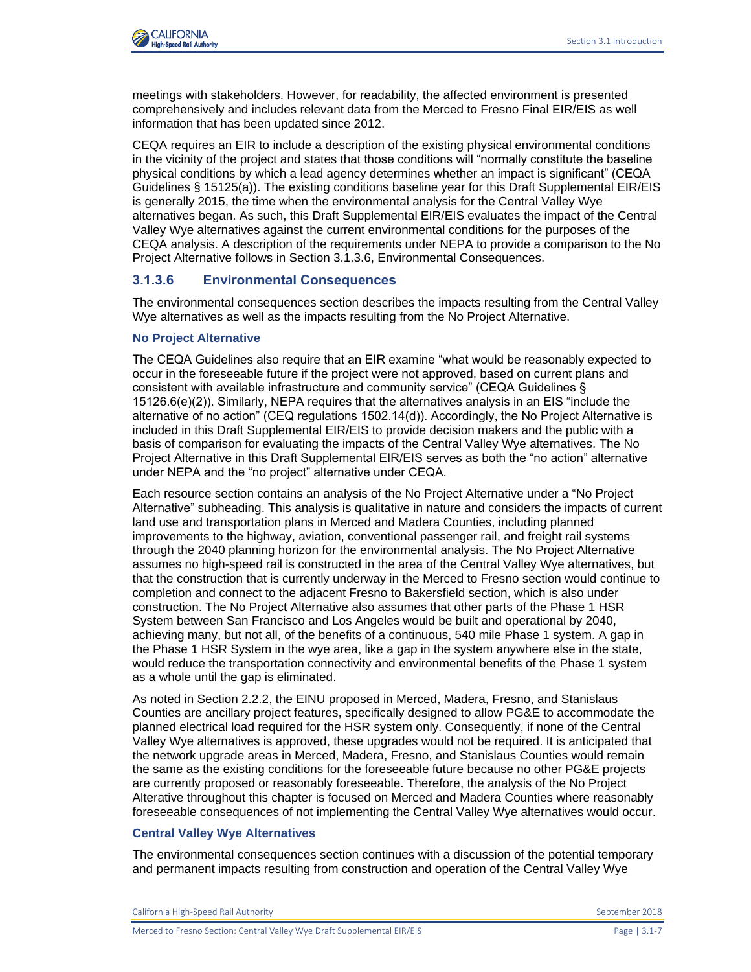meetings with stakeholders. However, for readability, the affected environment is presented comprehensively and includes relevant data from the Merced to Fresno Final EIR/EIS as well information that has been updated since 2012.

CEQA requires an EIR to include a description of the existing physical environmental conditions in the vicinity of the project and states that those conditions will "normally constitute the baseline physical conditions by which a lead agency determines whether an impact is significant" (CEQA Guidelines § 15125(a)). The existing conditions baseline year for this Draft Supplemental EIR/EIS is generally 2015, the time when the environmental analysis for the Central Valley Wye alternatives began. As such, this Draft Supplemental EIR/EIS evaluates the impact of the Central Valley Wye alternatives against the current environmental conditions for the purposes of the CEQA analysis. A description of the requirements under NEPA to provide a comparison to the No Project Alternative follows in Section 3.1.3.6, Environmental Consequences.

# **3.1.3.6 Environmental Consequences**

The environmental consequences section describes the impacts resulting from the Central Valley Wye alternatives as well as the impacts resulting from the No Project Alternative.

### **No Project Alternative**

The CEQA Guidelines also require that an EIR examine "what would be reasonably expected to occur in the foreseeable future if the project were not approved, based on current plans and consistent with available infrastructure and community service" (CEQA Guidelines § 15126.6(e)(2)). Similarly, NEPA requires that the alternatives analysis in an EIS "include the alternative of no action" (CEQ regulations 1502.14(d)). Accordingly, the No Project Alternative is included in this Draft Supplemental EIR/EIS to provide decision makers and the public with a basis of comparison for evaluating the impacts of the Central Valley Wye alternatives. The No Project Alternative in this Draft Supplemental EIR/EIS serves as both the "no action" alternative under NEPA and the "no project" alternative under CEQA.

Each resource section contains an analysis of the No Project Alternative under a "No Project Alternative" subheading. This analysis is qualitative in nature and considers the impacts of current land use and transportation plans in Merced and Madera Counties, including planned improvements to the highway, aviation, conventional passenger rail, and freight rail systems through the 2040 planning horizon for the environmental analysis. The No Project Alternative assumes no high-speed rail is constructed in the area of the Central Valley Wye alternatives, but that the construction that is currently underway in the Merced to Fresno section would continue to completion and connect to the adjacent Fresno to Bakersfield section, which is also under construction. The No Project Alternative also assumes that other parts of the Phase 1 HSR System between San Francisco and Los Angeles would be built and operational by 2040, achieving many, but not all, of the benefits of a continuous, 540 mile Phase 1 system. A gap in the Phase 1 HSR System in the wye area, like a gap in the system anywhere else in the state, would reduce the transportation connectivity and environmental benefits of the Phase 1 system as a whole until the gap is eliminated.

As noted in Section 2.2.2, the EINU proposed in Merced, Madera, Fresno, and Stanislaus Counties are ancillary project features, specifically designed to allow PG&E to accommodate the planned electrical load required for the HSR system only. Consequently, if none of the Central Valley Wye alternatives is approved, these upgrades would not be required. It is anticipated that the network upgrade areas in Merced, Madera, Fresno, and Stanislaus Counties would remain the same as the existing conditions for the foreseeable future because no other PG&E projects are currently proposed or reasonably foreseeable. Therefore, the analysis of the No Project Alterative throughout this chapter is focused on Merced and Madera Counties where reasonably foreseeable consequences of not implementing the Central Valley Wye alternatives would occur.

#### **Central Valley Wye Alternatives**

The environmental consequences section continues with a discussion of the potential temporary and permanent impacts resulting from construction and operation of the Central Valley Wye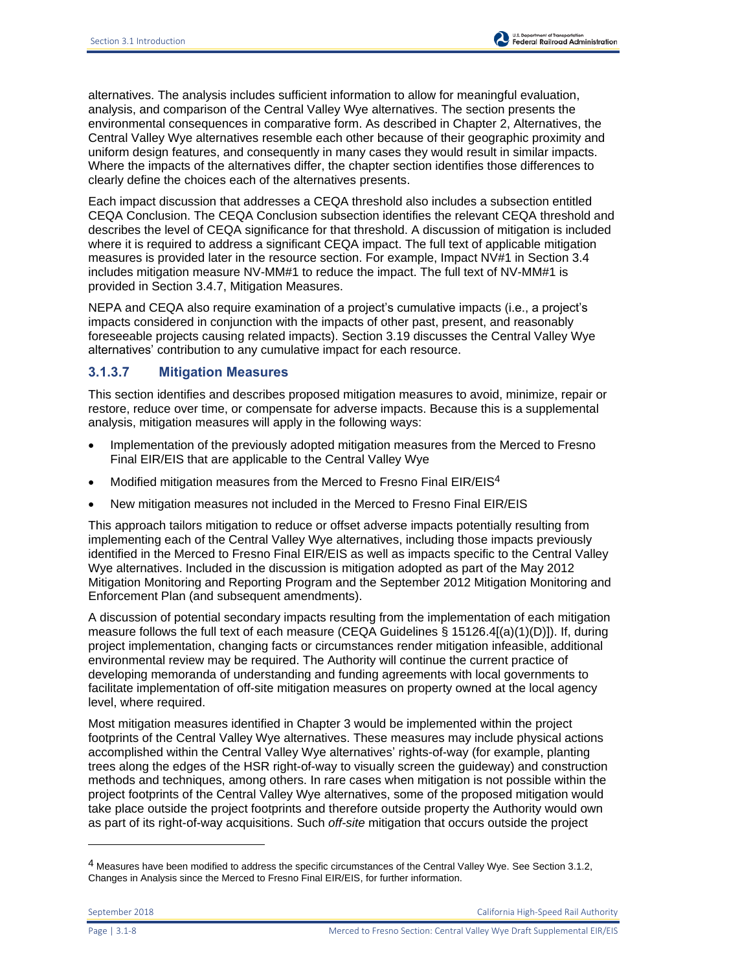alternatives. The analysis includes sufficient information to allow for meaningful evaluation, analysis, and comparison of the Central Valley Wye alternatives. The section presents the environmental consequences in comparative form. As described in Chapter 2, Alternatives, the Central Valley Wye alternatives resemble each other because of their geographic proximity and uniform design features, and consequently in many cases they would result in similar impacts. Where the impacts of the alternatives differ, the chapter section identifies those differences to clearly define the choices each of the alternatives presents.

Each impact discussion that addresses a CEQA threshold also includes a subsection entitled CEQA Conclusion. The CEQA Conclusion subsection identifies the relevant CEQA threshold and describes the level of CEQA significance for that threshold. A discussion of mitigation is included where it is required to address a significant CEQA impact. The full text of applicable mitigation measures is provided later in the resource section. For example, Impact NV#1 in Section 3.4 includes mitigation measure NV-MM#1 to reduce the impact. The full text of NV-MM#1 is provided in Section 3.4.7, Mitigation Measures.

NEPA and CEQA also require examination of a project's cumulative impacts (i.e., a project's impacts considered in conjunction with the impacts of other past, present, and reasonably foreseeable projects causing related impacts). Section 3.19 discusses the Central Valley Wye alternatives' contribution to any cumulative impact for each resource.

## **3.1.3.7 Mitigation Measures**

This section identifies and describes proposed mitigation measures to avoid, minimize, repair or restore, reduce over time, or compensate for adverse impacts. Because this is a supplemental analysis, mitigation measures will apply in the following ways:

- Implementation of the previously adopted mitigation measures from the Merced to Fresno Final EIR/EIS that are applicable to the Central Valley Wye
- Modified mitigation measures from the Merced to Fresno Final EIR/EIS4
- New mitigation measures not included in the Merced to Fresno Final EIR/EIS

This approach tailors mitigation to reduce or offset adverse impacts potentially resulting from implementing each of the Central Valley Wye alternatives, including those impacts previously identified in the Merced to Fresno Final EIR/EIS as well as impacts specific to the Central Valley Wye alternatives. Included in the discussion is mitigation adopted as part of the May 2012 Mitigation Monitoring and Reporting Program and the September 2012 Mitigation Monitoring and Enforcement Plan (and subsequent amendments).

A discussion of potential secondary impacts resulting from the implementation of each mitigation measure follows the full text of each measure (CEQA Guidelines § 15126.4[(a)(1)(D)]). If, during project implementation, changing facts or circumstances render mitigation infeasible, additional environmental review may be required. The Authority will continue the current practice of developing memoranda of understanding and funding agreements with local governments to facilitate implementation of off-site mitigation measures on property owned at the local agency level, where required.

Most mitigation measures identified in Chapter 3 would be implemented within the project footprints of the Central Valley Wye alternatives. These measures may include physical actions accomplished within the Central Valley Wye alternatives' rights-of-way (for example, planting trees along the edges of the HSR right-of-way to visually screen the guideway) and construction methods and techniques, among others. In rare cases when mitigation is not possible within the project footprints of the Central Valley Wye alternatives, some of the proposed mitigation would take place outside the project footprints and therefore outside property the Authority would own as part of its right-of-way acquisitions. Such *off-site* mitigation that occurs outside the project

l

<sup>4</sup> Measures have been modified to address the specific circumstances of the Central Valley Wye. See Section 3.1.2, Changes in Analysis since the Merced to Fresno Final EIR/EIS, for further information.